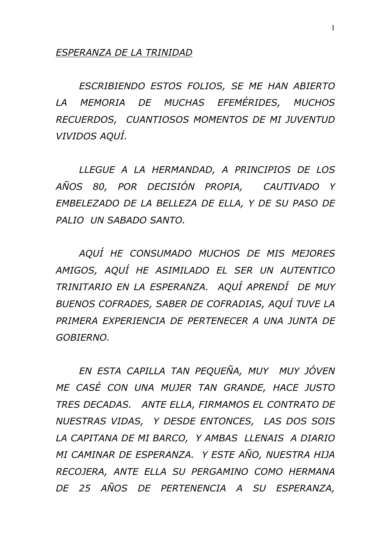*ESCRIBIENDO ESTOS FOLIOS, SE ME HAN ABIERTO LA MEMORIA DE MUCHAS EFEMÉRIDES, MUCHOS RECUERDOS, CUANTIOSOS MOMENTOS DE MI JUVENTUD VIVIDOS AQUÍ.*

*LLEGUE A LA HERMANDAD, A PRINCIPIOS DE LOS AÑOS 80, POR DECISIÓN PROPIA, CAUTIVADO Y EMBELEZADO DE LA BELLEZA DE ELLA, Y DE SU PASO DE PALIO UN SABADO SANTO.* 

*AQUÍ HE CONSUMADO MUCHOS DE MIS MEJORES AMIGOS, AQUÍ HE ASIMILADO EL SER UN AUTENTICO TRINITARIO EN LA ESPERANZA. AQUÍ APRENDÍ DE MUY BUENOS COFRADES, SABER DE COFRADIAS, AQUÍ TUVE LA PRIMERA EXPERIENCIA DE PERTENECER A UNA JUNTA DE GOBIERNO.*

*EN ESTA CAPILLA TAN PEQUEÑA, MUY MUY JÓVEN ME CASÉ CON UNA MUJER TAN GRANDE, HACE JUSTO TRES DECADAS. ANTE ELLA, FIRMAMOS EL CONTRATO DE NUESTRAS VIDAS, Y DESDE ENTONCES, LAS DOS SOIS LA CAPITANA DE MI BARCO, Y AMBAS LLENAIS A DIARIO MI CAMINAR DE ESPERANZA. Y ESTE AÑO, NUESTRA HIJA RECOJERA, ANTE ELLA SU PERGAMINO COMO HERMANA DE 25 AÑOS DE PERTENENCIA A SU ESPERANZA,*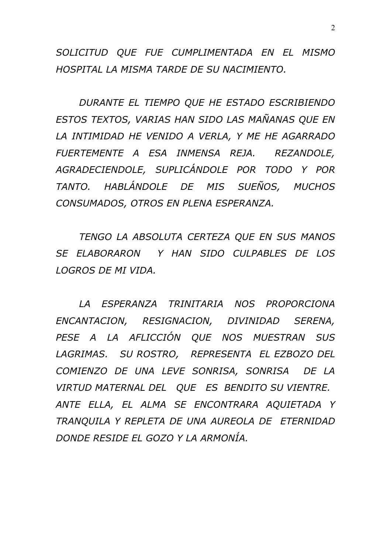*SOLICITUD QUE FUE CUMPLIMENTADA EN EL MISMO HOSPITAL LA MISMA TARDE DE SU NACIMIENTO.*

*DURANTE EL TIEMPO QUE HE ESTADO ESCRIBIENDO ESTOS TEXTOS, VARIAS HAN SIDO LAS MAÑANAS QUE EN LA INTIMIDAD HE VENIDO A VERLA, Y ME HE AGARRADO FUERTEMENTE A ESA INMENSA REJA. REZANDOLE, AGRADECIENDOLE, SUPLICÁNDOLE POR TODO Y POR TANTO. HABLÁNDOLE DE MIS SUEÑOS, MUCHOS CONSUMADOS, OTROS EN PLENA ESPERANZA.*

*TENGO LA ABSOLUTA CERTEZA QUE EN SUS MANOS SE ELABORARON Y HAN SIDO CULPABLES DE LOS LOGROS DE MI VIDA.*

*LA ESPERANZA TRINITARIA NOS PROPORCIONA ENCANTACION, RESIGNACION, DIVINIDAD SERENA, PESE A LA AFLICCIÓN QUE NOS MUESTRAN SUS LAGRIMAS. SU ROSTRO, REPRESENTA EL EZBOZO DEL COMIENZO DE UNA LEVE SONRISA, SONRISA DE LA VIRTUD MATERNAL DEL QUE ES BENDITO SU VIENTRE. ANTE ELLA, EL ALMA SE ENCONTRARA AQUIETADA Y TRANQUILA Y REPLETA DE UNA AUREOLA DE ETERNIDAD DONDE RESIDE EL GOZO Y LA ARMONÍA.*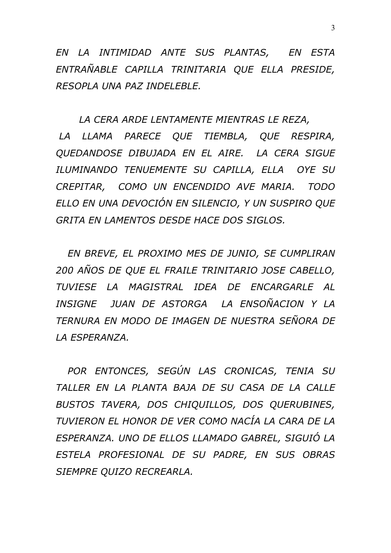*EN LA INTIMIDAD ANTE SUS PLANTAS, EN ESTA ENTRAÑABLE CAPILLA TRINITARIA QUE ELLA PRESIDE, RESOPLA UNA PAZ INDELEBLE.* 

*LA CERA ARDE LENTAMENTE MIENTRAS LE REZA,*

*LA LLAMA PARECE QUE TIEMBLA, QUE RESPIRA, QUEDANDOSE DIBUJADA EN EL AIRE. LA CERA SIGUE ILUMINANDO TENUEMENTE SU CAPILLA, ELLA OYE SU CREPITAR, COMO UN ENCENDIDO AVE MARIA. TODO ELLO EN UNA DEVOCIÓN EN SILENCIO, Y UN SUSPIRO QUE GRITA EN LAMENTOS DESDE HACE DOS SIGLOS.* 

*EN BREVE, EL PROXIMO MES DE JUNIO, SE CUMPLIRAN 200 AÑOS DE QUE EL FRAILE TRINITARIO JOSE CABELLO, TUVIESE LA MAGISTRAL IDEA DE ENCARGARLE AL INSIGNE JUAN DE ASTORGA LA ENSOÑACION Y LA TERNURA EN MODO DE IMAGEN DE NUESTRA SEÑORA DE LA ESPERANZA.*

*POR ENTONCES, SEGÚN LAS CRONICAS, TENIA SU TALLER EN LA PLANTA BAJA DE SU CASA DE LA CALLE BUSTOS TAVERA, DOS CHIQUILLOS, DOS QUERUBINES, TUVIERON EL HONOR DE VER COMO NACÍA LA CARA DE LA ESPERANZA. UNO DE ELLOS LLAMADO GABREL, SIGUIÓ LA ESTELA PROFESIONAL DE SU PADRE, EN SUS OBRAS SIEMPRE QUIZO RECREARLA.*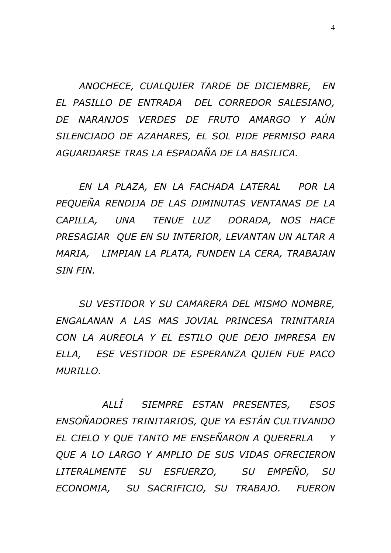*ANOCHECE, CUALQUIER TARDE DE DICIEMBRE, EN EL PASILLO DE ENTRADA DEL CORREDOR SALESIANO, DE NARANJOS VERDES DE FRUTO AMARGO Y AÚN SILENCIADO DE AZAHARES, EL SOL PIDE PERMISO PARA AGUARDARSE TRAS LA ESPADAÑA DE LA BASILICA.* 

*EN LA PLAZA, EN LA FACHADA LATERAL POR LA PEQUEÑA RENDIJA DE LAS DIMINUTAS VENTANAS DE LA CAPILLA, UNA TENUE LUZ DORADA, NOS HACE PRESAGIAR QUE EN SU INTERIOR, LEVANTAN UN ALTAR A MARIA, LIMPIAN LA PLATA, FUNDEN LA CERA, TRABAJAN SIN FIN.* 

*SU VESTIDOR Y SU CAMARERA DEL MISMO NOMBRE, ENGALANAN A LAS MAS JOVIAL PRINCESA TRINITARIA CON LA AUREOLA Y EL ESTILO QUE DEJO IMPRESA EN ELLA, ESE VESTIDOR DE ESPERANZA QUIEN FUE PACO MURILLO.*

*ALLÍ SIEMPRE ESTAN PRESENTES, ESOS ENSOÑADORES TRINITARIOS, QUE YA ESTÁN CULTIVANDO EL CIELO Y QUE TANTO ME ENSEÑARON A QUERERLA Y QUE A LO LARGO Y AMPLIO DE SUS VIDAS OFRECIERON LITERALMENTE SU ESFUERZO, SU EMPEÑO, SU ECONOMIA, SU SACRIFICIO, SU TRABAJO. FUERON*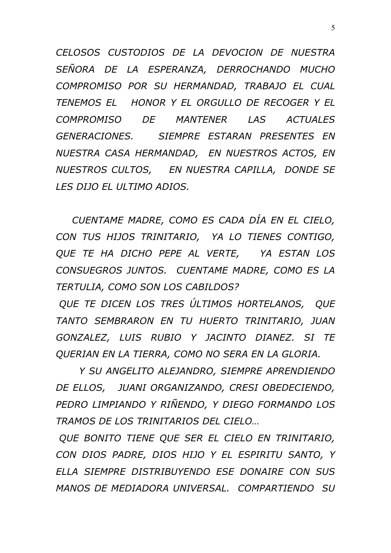*CELOSOS CUSTODIOS DE LA DEVOCION DE NUESTRA SEÑORA DE LA ESPERANZA, DERROCHANDO MUCHO COMPROMISO POR SU HERMANDAD, TRABAJO EL CUAL TENEMOS EL HONOR Y EL ORGULLO DE RECOGER Y EL COMPROMISO DE MANTENER LAS ACTUALES GENERACIONES. SIEMPRE ESTARAN PRESENTES EN NUESTRA CASA HERMANDAD, EN NUESTROS ACTOS, EN NUESTROS CULTOS, EN NUESTRA CAPILLA, DONDE SE LES DIJO EL ULTIMO ADIOS.*

 *CUENTAME MADRE, COMO ES CADA DÍA EN EL CIELO, CON TUS HIJOS TRINITARIO, YA LO TIENES CONTIGO, QUE TE HA DICHO PEPE AL VERTE, YA ESTAN LOS CONSUEGROS JUNTOS. CUENTAME MADRE, COMO ES LA TERTULIA, COMO SON LOS CABILDOS?*

*QUE TE DICEN LOS TRES ÚLTIMOS HORTELANOS, QUE TANTO SEMBRARON EN TU HUERTO TRINITARIO, JUAN GONZALEZ, LUIS RUBIO Y JACINTO DIANEZ. SI TE QUERIAN EN LA TIERRA, COMO NO SERA EN LA GLORIA.*

*Y SU ANGELITO ALEJANDRO, SIEMPRE APRENDIENDO DE ELLOS, JUANI ORGANIZANDO, CRESI OBEDECIENDO, PEDRO LIMPIANDO Y RIÑENDO, Y DIEGO FORMANDO LOS TRAMOS DE LOS TRINITARIOS DEL CIELO…*

*QUE BONITO TIENE QUE SER EL CIELO EN TRINITARIO, CON DIOS PADRE, DIOS HIJO Y EL ESPIRITU SANTO, Y ELLA SIEMPRE DISTRIBUYENDO ESE DONAIRE CON SUS MANOS DE MEDIADORA UNIVERSAL. COMPARTIENDO SU*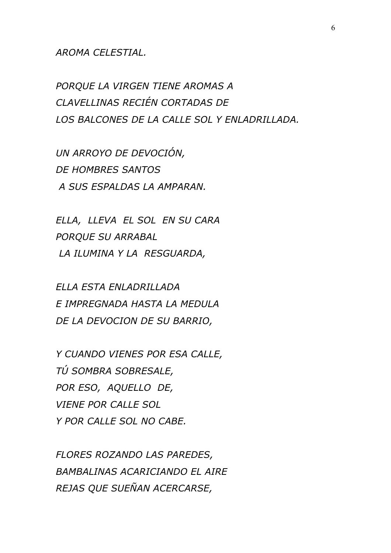*AROMA CELESTIAL.*

*PORQUE LA VIRGEN TIENE AROMAS A CLAVELLINAS RECIÉN CORTADAS DE LOS BALCONES DE LA CALLE SOL Y ENLADRILLADA.*

*UN ARROYO DE DEVOCIÓN, DE HOMBRES SANTOS A SUS ESPALDAS LA AMPARAN.*

*ELLA, LLEVA EL SOL EN SU CARA PORQUE SU ARRABAL LA ILUMINA Y LA RESGUARDA,*

*ELLA ESTA ENLADRILLADA E IMPREGNADA HASTA LA MEDULA DE LA DEVOCION DE SU BARRIO,*

*Y CUANDO VIENES POR ESA CALLE, TÚ SOMBRA SOBRESALE, POR ESO, AQUELLO DE, VIENE POR CALLE SOL Y POR CALLE SOL NO CABE.*

*FLORES ROZANDO LAS PAREDES, BAMBALINAS ACARICIANDO EL AIRE REJAS QUE SUEÑAN ACERCARSE,*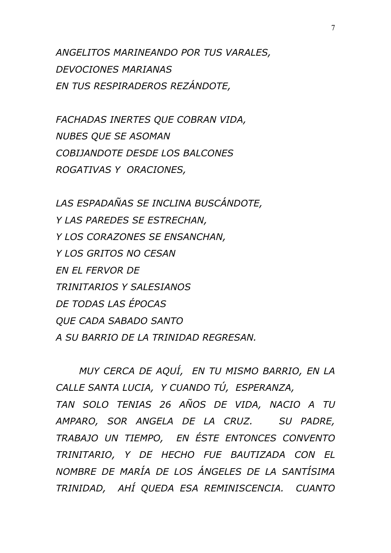*ANGELITOS MARINEANDO POR TUS VARALES, DEVOCIONES MARIANAS EN TUS RESPIRADEROS REZÁNDOTE,* 

*FACHADAS INERTES QUE COBRAN VIDA, NUBES QUE SE ASOMAN COBIJANDOTE DESDE LOS BALCONES ROGATIVAS Y ORACIONES,*

*LAS ESPADAÑAS SE INCLINA BUSCÁNDOTE, Y LAS PAREDES SE ESTRECHAN, Y LOS CORAZONES SE ENSANCHAN, Y LOS GRITOS NO CESAN EN EL FERVOR DE TRINITARIOS Y SALESIANOS DE TODAS LAS ÉPOCAS QUE CADA SABADO SANTO A SU BARRIO DE LA TRINIDAD REGRESAN.*

*MUY CERCA DE AQUÍ, EN TU MISMO BARRIO, EN LA CALLE SANTA LUCIA, Y CUANDO TÚ, ESPERANZA, TAN SOLO TENIAS 26 AÑOS DE VIDA, NACIO A TU AMPARO, SOR ANGELA DE LA CRUZ. SU PADRE, TRABAJO UN TIEMPO, EN ÉSTE ENTONCES CONVENTO TRINITARIO, Y DE HECHO FUE BAUTIZADA CON EL NOMBRE DE MARÍA DE LOS ÁNGELES DE LA SANTÍSIMA TRINIDAD, AHÍ QUEDA ESA REMINISCENCIA. CUANTO*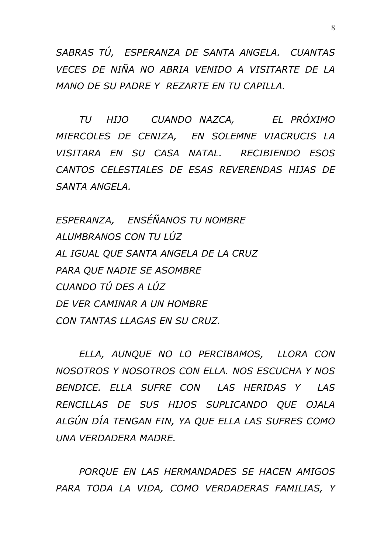*SABRAS TÚ, ESPERANZA DE SANTA ANGELA. CUANTAS VECES DE NIÑA NO ABRIA VENIDO A VISITARTE DE LA MANO DE SU PADRE Y REZARTE EN TU CAPILLA.*

*TU HIJO CUANDO NAZCA, EL PRÓXIMO MIERCOLES DE CENIZA, EN SOLEMNE VIACRUCIS LA VISITARA EN SU CASA NATAL. RECIBIENDO ESOS CANTOS CELESTIALES DE ESAS REVERENDAS HIJAS DE SANTA ANGELA.*

*ESPERANZA, ENSÉÑANOS TU NOMBRE ALUMBRANOS CON TU LÚZ AL IGUAL QUE SANTA ANGELA DE LA CRUZ PARA QUE NADIE SE ASOMBRE CUANDO TÚ DES A LÚZ DE VER CAMINAR A UN HOMBRE CON TANTAS LLAGAS EN SU CRUZ.*

*ELLA, AUNQUE NO LO PERCIBAMOS, LLORA CON NOSOTROS Y NOSOTROS CON ELLA. NOS ESCUCHA Y NOS BENDICE. ELLA SUFRE CON LAS HERIDAS Y LAS RENCILLAS DE SUS HIJOS SUPLICANDO QUE OJALA ALGÚN DÍA TENGAN FIN, YA QUE ELLA LAS SUFRES COMO UNA VERDADERA MADRE.*

*PORQUE EN LAS HERMANDADES SE HACEN AMIGOS PARA TODA LA VIDA, COMO VERDADERAS FAMILIAS, Y*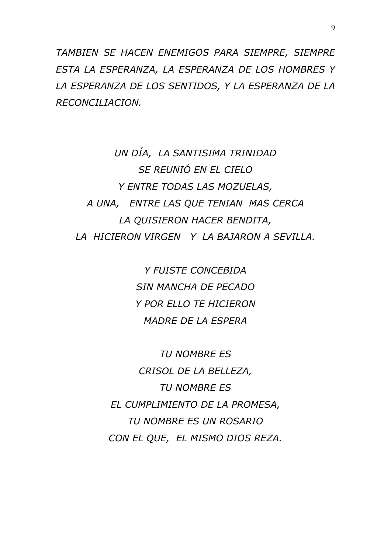*TAMBIEN SE HACEN ENEMIGOS PARA SIEMPRE, SIEMPRE ESTA LA ESPERANZA, LA ESPERANZA DE LOS HOMBRES Y LA ESPERANZA DE LOS SENTIDOS, Y LA ESPERANZA DE LA RECONCILIACION.*

*UN DÍA, LA SANTISIMA TRINIDAD SE REUNIÓ EN EL CIELO Y ENTRE TODAS LAS MOZUELAS, A UNA, ENTRE LAS QUE TENIAN MAS CERCA LA QUISIERON HACER BENDITA, LA HICIERON VIRGEN Y LA BAJARON A SEVILLA.*

> *Y FUISTE CONCEBIDA SIN MANCHA DE PECADO Y POR ELLO TE HICIERON MADRE DE LA ESPERA*

*TU NOMBRE ES CRISOL DE LA BELLEZA, TU NOMBRE ES EL CUMPLIMIENTO DE LA PROMESA, TU NOMBRE ES UN ROSARIO CON EL QUE, EL MISMO DIOS REZA.*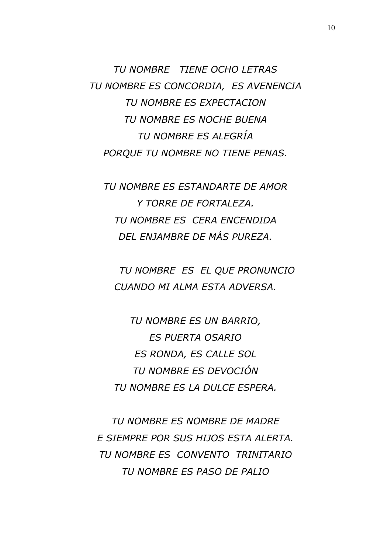*TU NOMBRE TIENE OCHO LETRAS TU NOMBRE ES CONCORDIA, ES AVENENCIA TU NOMBRE ES EXPECTACION TU NOMBRE ES NOCHE BUENA TU NOMBRE ES ALEGRÍA PORQUE TU NOMBRE NO TIENE PENAS.*

*TU NOMBRE ES ESTANDARTE DE AMOR Y TORRE DE FORTALEZA. TU NOMBRE ES CERA ENCENDIDA DEL ENJAMBRE DE MÁS PUREZA.*

*TU NOMBRE ES EL QUE PRONUNCIO CUANDO MI ALMA ESTA ADVERSA.*

*TU NOMBRE ES UN BARRIO, ES PUERTA OSARIO ES RONDA, ES CALLE SOL TU NOMBRE ES DEVOCIÓN TU NOMBRE ES LA DULCE ESPERA.*

*TU NOMBRE ES NOMBRE DE MADRE E SIEMPRE POR SUS HIJOS ESTA ALERTA. TU NOMBRE ES CONVENTO TRINITARIO TU NOMBRE ES PASO DE PALIO*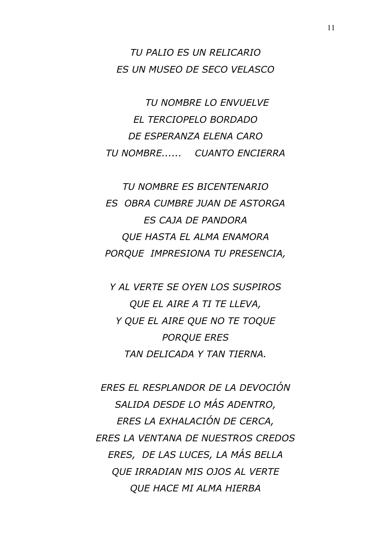*TU PALIO ES UN RELICARIO ES UN MUSEO DE SECO VELASCO*

*TU NOMBRE LO ENVUELVE EL TERCIOPELO BORDADO DE ESPERANZA ELENA CARO TU NOMBRE...... CUANTO ENCIERRA*

*TU NOMBRE ES BICENTENARIO ES OBRA CUMBRE JUAN DE ASTORGA ES CAJA DE PANDORA QUE HASTA EL ALMA ENAMORA PORQUE IMPRESIONA TU PRESENCIA,*

*Y AL VERTE SE OYEN LOS SUSPIROS QUE EL AIRE A TI TE LLEVA, Y QUE EL AIRE QUE NO TE TOQUE PORQUE ERES TAN DELICADA Y TAN TIERNA.*

*ERES EL RESPLANDOR DE LA DEVOCIÓN SALIDA DESDE LO MÁS ADENTRO, ERES LA EXHALACIÓN DE CERCA, ERES LA VENTANA DE NUESTROS CREDOS ERES, DE LAS LUCES, LA MÁS BELLA QUE IRRADIAN MIS OJOS AL VERTE QUE HACE MI ALMA HIERBA*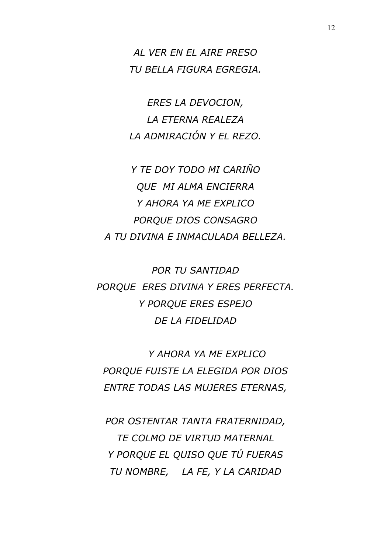*AL VER EN EL AIRE PRESO TU BELLA FIGURA EGREGIA.*

*ERES LA DEVOCION, LA ETERNA REALEZA LA ADMIRACIÓN Y EL REZO.*

*Y TE DOY TODO MI CARIÑO QUE MI ALMA ENCIERRA Y AHORA YA ME EXPLICO PORQUE DIOS CONSAGRO A TU DIVINA E INMACULADA BELLEZA.*

*POR TU SANTIDAD PORQUE ERES DIVINA Y ERES PERFECTA. Y PORQUE ERES ESPEJO DE LA FIDELIDAD*

*Y AHORA YA ME EXPLICO PORQUE FUISTE LA ELEGIDA POR DIOS ENTRE TODAS LAS MUJERES ETERNAS,*

*POR OSTENTAR TANTA FRATERNIDAD, TE COLMO DE VIRTUD MATERNAL Y PORQUE EL QUISO QUE TÚ FUERAS TU NOMBRE, LA FE, Y LA CARIDAD*